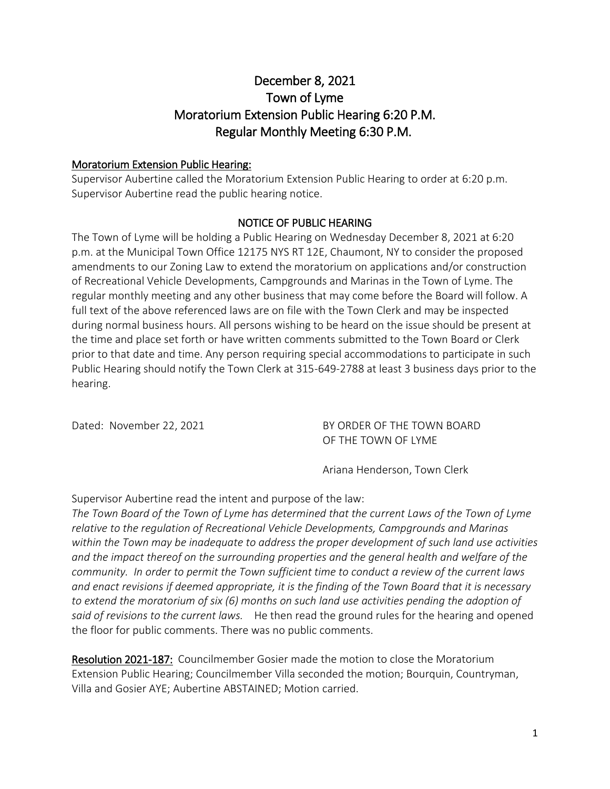# December 8, 2021 Town of Lyme Moratorium Extension Public Hearing 6:20 P.M. Regular Monthly Meeting 6:30 P.M.

#### Moratorium Extension Public Hearing:

Supervisor Aubertine called the Moratorium Extension Public Hearing to order at 6:20 p.m. Supervisor Aubertine read the public hearing notice.

#### NOTICE OF PUBLIC HEARING

The Town of Lyme will be holding a Public Hearing on Wednesday December 8, 2021 at 6:20 p.m. at the Municipal Town Office 12175 NYS RT 12E, Chaumont, NY to consider the proposed amendments to our Zoning Law to extend the moratorium on applications and/or construction of Recreational Vehicle Developments, Campgrounds and Marinas in the Town of Lyme. The regular monthly meeting and any other business that may come before the Board will follow. A full text of the above referenced laws are on file with the Town Clerk and may be inspected during normal business hours. All persons wishing to be heard on the issue should be present at the time and place set forth or have written comments submitted to the Town Board or Clerk prior to that date and time. Any person requiring special accommodations to participate in such Public Hearing should notify the Town Clerk at 315-649-2788 at least 3 business days prior to the hearing.

Dated: November 22, 2021 **BY ORDER OF THE TOWN BOARD** OF THE TOWN OF LYME

Ariana Henderson, Town Clerk

Supervisor Aubertine read the intent and purpose of the law:

*The Town Board of the Town of Lyme has determined that the current Laws of the Town of Lyme relative to the regulation of Recreational Vehicle Developments, Campgrounds and Marinas within the Town may be inadequate to address the proper development of such land use activities and the impact thereof on the surrounding properties and the general health and welfare of the community. In order to permit the Town sufficient time to conduct a review of the current laws and enact revisions if deemed appropriate, it is the finding of the Town Board that it is necessary to extend the moratorium of six (6) months on such land use activities pending the adoption of said of revisions to the current laws.* He then read the ground rules for the hearing and opened the floor for public comments.There was no public comments.

Resolution 2021-187: Councilmember Gosier made the motion to close the Moratorium Extension Public Hearing; Councilmember Villa seconded the motion; Bourquin, Countryman, Villa and Gosier AYE; Aubertine ABSTAINED; Motion carried.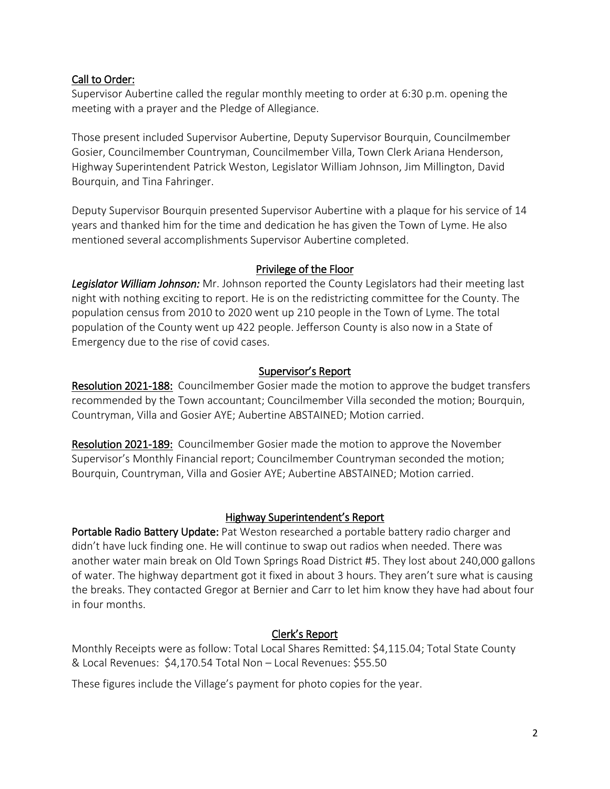### Call to Order:

Supervisor Aubertine called the regular monthly meeting to order at 6:30 p.m. opening the meeting with a prayer and the Pledge of Allegiance.

Those present included Supervisor Aubertine, Deputy Supervisor Bourquin, Councilmember Gosier, Councilmember Countryman, Councilmember Villa, Town Clerk Ariana Henderson, Highway Superintendent Patrick Weston, Legislator William Johnson, Jim Millington, David Bourquin, and Tina Fahringer.

Deputy Supervisor Bourquin presented Supervisor Aubertine with a plaque for his service of 14 years and thanked him for the time and dedication he has given the Town of Lyme. He also mentioned several accomplishments Supervisor Aubertine completed.

#### Privilege of the Floor

*Legislator William Johnson:* Mr. Johnson reported the County Legislators had their meeting last night with nothing exciting to report. He is on the redistricting committee for the County. The population census from 2010 to 2020 went up 210 people in the Town of Lyme. The total population of the County went up 422 people. Jefferson County is also now in a State of Emergency due to the rise of covid cases.

#### Supervisor's Report

Resolution 2021-188: Councilmember Gosier made the motion to approve the budget transfers recommended by the Town accountant; Councilmember Villa seconded the motion; Bourquin, Countryman, Villa and Gosier AYE; Aubertine ABSTAINED; Motion carried.

Resolution 2021-189: Councilmember Gosier made the motion to approve the November Supervisor's Monthly Financial report; Councilmember Countryman seconded the motion; Bourquin, Countryman, Villa and Gosier AYE; Aubertine ABSTAINED; Motion carried.

### Highway Superintendent's Report

Portable Radio Battery Update: Pat Weston researched a portable battery radio charger and didn't have luck finding one. He will continue to swap out radios when needed. There was another water main break on Old Town Springs Road District #5. They lost about 240,000 gallons of water. The highway department got it fixed in about 3 hours. They aren't sure what is causing the breaks. They contacted Gregor at Bernier and Carr to let him know they have had about four in four months.

### Clerk's Report

Monthly Receipts were as follow: Total Local Shares Remitted: \$4,115.04; Total State County & Local Revenues: \$4,170.54 Total Non – Local Revenues: \$55.50

These figures include the Village's payment for photo copies for the year.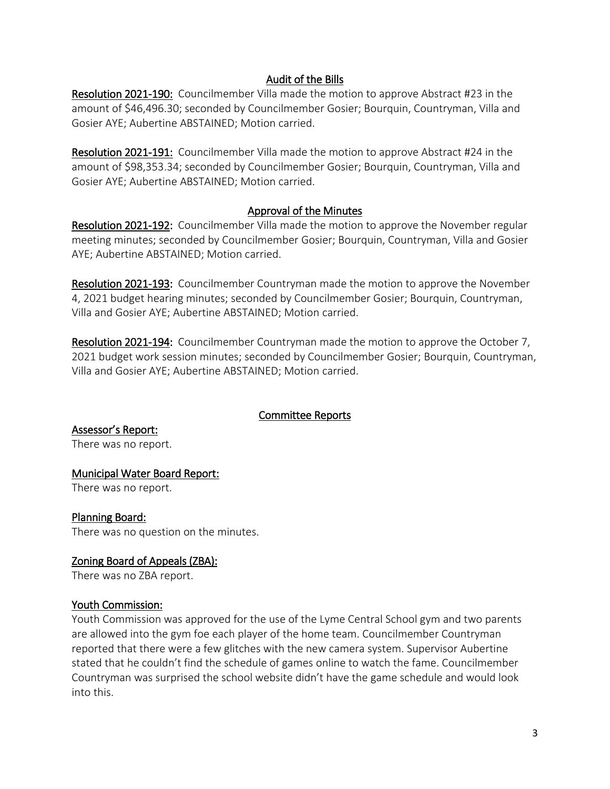### Audit of the Bills

Resolution 2021-190: Councilmember Villa made the motion to approve Abstract #23 in the amount of \$46,496.30; seconded by Councilmember Gosier; Bourquin, Countryman, Villa and Gosier AYE; Aubertine ABSTAINED; Motion carried.

Resolution 2021-191: Councilmember Villa made the motion to approve Abstract #24 in the amount of \$98,353.34; seconded by Councilmember Gosier; Bourquin, Countryman, Villa and Gosier AYE; Aubertine ABSTAINED; Motion carried.

#### Approval of the Minutes

Resolution 2021-192: Councilmember Villa made the motion to approve the November regular meeting minutes; seconded by Councilmember Gosier; Bourquin, Countryman, Villa and Gosier AYE; Aubertine ABSTAINED; Motion carried.

Resolution 2021-193: Councilmember Countryman made the motion to approve the November 4, 2021 budget hearing minutes; seconded by Councilmember Gosier; Bourquin, Countryman, Villa and Gosier AYE; Aubertine ABSTAINED; Motion carried.

Resolution 2021-194: Councilmember Countryman made the motion to approve the October 7, 2021 budget work session minutes; seconded by Councilmember Gosier; Bourquin, Countryman, Villa and Gosier AYE; Aubertine ABSTAINED; Motion carried.

#### Committee Reports

Assessor's Report: There was no report.

### Municipal Water Board Report:

There was no report.

### Planning Board:

There was no question on the minutes.

### Zoning Board of Appeals (ZBA):

There was no ZBA report.

#### Youth Commission:

Youth Commission was approved for the use of the Lyme Central School gym and two parents are allowed into the gym foe each player of the home team. Councilmember Countryman reported that there were a few glitches with the new camera system. Supervisor Aubertine stated that he couldn't find the schedule of games online to watch the fame. Councilmember Countryman was surprised the school website didn't have the game schedule and would look into this.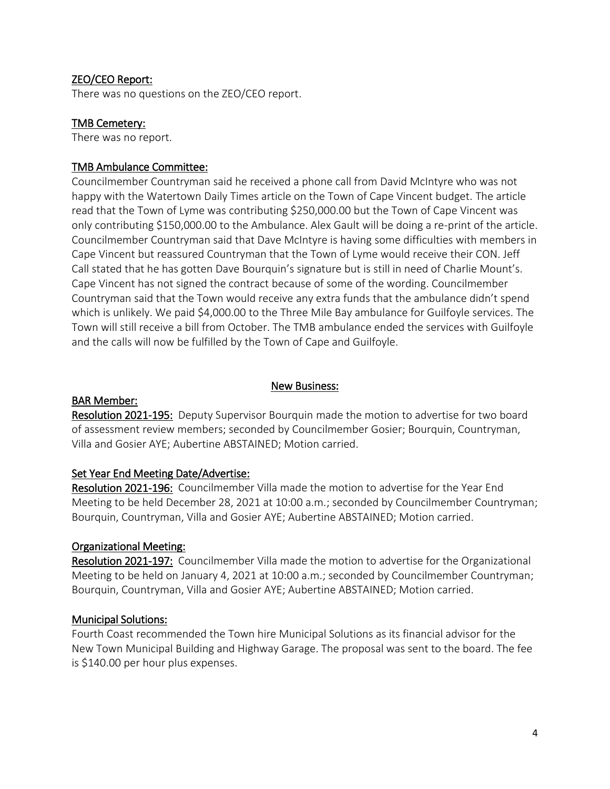### ZEO/CEO Report:

There was no questions on the ZEO/CEO report.

#### TMB Cemetery:

There was no report.

#### TMB Ambulance Committee:

Councilmember Countryman said he received a phone call from David McIntyre who was not happy with the Watertown Daily Times article on the Town of Cape Vincent budget. The article read that the Town of Lyme was contributing \$250,000.00 but the Town of Cape Vincent was only contributing \$150,000.00 to the Ambulance. Alex Gault will be doing a re-print of the article. Councilmember Countryman said that Dave McIntyre is having some difficulties with members in Cape Vincent but reassured Countryman that the Town of Lyme would receive their CON. Jeff Call stated that he has gotten Dave Bourquin's signature but is still in need of Charlie Mount's. Cape Vincent has not signed the contract because of some of the wording. Councilmember Countryman said that the Town would receive any extra funds that the ambulance didn't spend which is unlikely. We paid \$4,000.00 to the Three Mile Bay ambulance for Guilfoyle services. The Town will still receive a bill from October. The TMB ambulance ended the services with Guilfoyle and the calls will now be fulfilled by the Town of Cape and Guilfoyle.

#### New Business:

#### BAR Member:

Resolution 2021-195: Deputy Supervisor Bourquin made the motion to advertise for two board of assessment review members; seconded by Councilmember Gosier; Bourquin, Countryman, Villa and Gosier AYE; Aubertine ABSTAINED; Motion carried.

#### Set Year End Meeting Date/Advertise:

Resolution 2021-196: Councilmember Villa made the motion to advertise for the Year End Meeting to be held December 28, 2021 at 10:00 a.m.; seconded by Councilmember Countryman; Bourquin, Countryman, Villa and Gosier AYE; Aubertine ABSTAINED; Motion carried.

#### Organizational Meeting:

Resolution 2021-197: Councilmember Villa made the motion to advertise for the Organizational Meeting to be held on January 4, 2021 at 10:00 a.m.; seconded by Councilmember Countryman; Bourquin, Countryman, Villa and Gosier AYE; Aubertine ABSTAINED; Motion carried.

#### Municipal Solutions:

Fourth Coast recommended the Town hire Municipal Solutions as its financial advisor for the New Town Municipal Building and Highway Garage. The proposal was sent to the board. The fee is \$140.00 per hour plus expenses.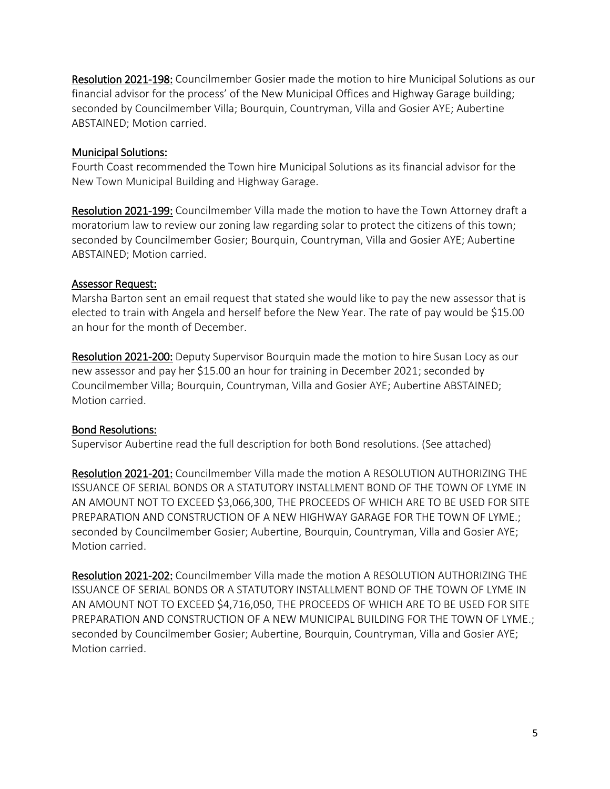Resolution 2021-198: Councilmember Gosier made the motion to hire Municipal Solutions as our financial advisor for the process' of the New Municipal Offices and Highway Garage building; seconded by Councilmember Villa; Bourquin, Countryman, Villa and Gosier AYE; Aubertine ABSTAINED; Motion carried.

#### Municipal Solutions:

Fourth Coast recommended the Town hire Municipal Solutions as its financial advisor for the New Town Municipal Building and Highway Garage.

Resolution 2021-199: Councilmember Villa made the motion to have the Town Attorney draft a moratorium law to review our zoning law regarding solar to protect the citizens of this town; seconded by Councilmember Gosier; Bourquin, Countryman, Villa and Gosier AYE; Aubertine ABSTAINED; Motion carried.

#### Assessor Request:

Marsha Barton sent an email request that stated she would like to pay the new assessor that is elected to train with Angela and herself before the New Year. The rate of pay would be \$15.00 an hour for the month of December.

Resolution 2021-200: Deputy Supervisor Bourquin made the motion to hire Susan Locy as our new assessor and pay her \$15.00 an hour for training in December 2021; seconded by Councilmember Villa; Bourquin, Countryman, Villa and Gosier AYE; Aubertine ABSTAINED; Motion carried.

### Bond Resolutions:

Supervisor Aubertine read the full description for both Bond resolutions. (See attached)

Resolution 2021-201: Councilmember Villa made the motion A RESOLUTION AUTHORIZING THE ISSUANCE OF SERIAL BONDS OR A STATUTORY INSTALLMENT BOND OF THE TOWN OF LYME IN AN AMOUNT NOT TO EXCEED \$3,066,300, THE PROCEEDS OF WHICH ARE TO BE USED FOR SITE PREPARATION AND CONSTRUCTION OF A NEW HIGHWAY GARAGE FOR THE TOWN OF LYME.; seconded by Councilmember Gosier; Aubertine, Bourquin, Countryman, Villa and Gosier AYE; Motion carried.

Resolution 2021-202: Councilmember Villa made the motion A RESOLUTION AUTHORIZING THE ISSUANCE OF SERIAL BONDS OR A STATUTORY INSTALLMENT BOND OF THE TOWN OF LYME IN AN AMOUNT NOT TO EXCEED \$4,716,050, THE PROCEEDS OF WHICH ARE TO BE USED FOR SITE PREPARATION AND CONSTRUCTION OF A NEW MUNICIPAL BUILDING FOR THE TOWN OF LYME.; seconded by Councilmember Gosier; Aubertine, Bourquin, Countryman, Villa and Gosier AYE; Motion carried.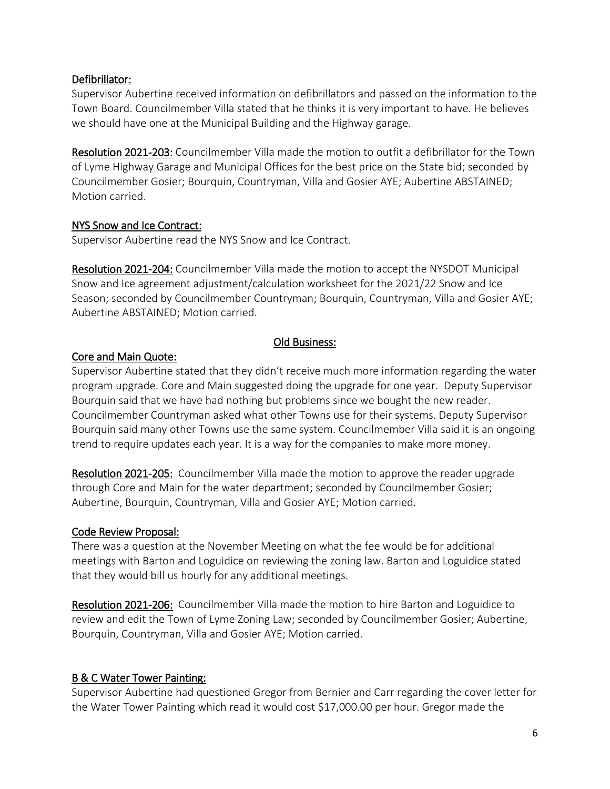### Defibrillator:

Supervisor Aubertine received information on defibrillators and passed on the information to the Town Board. Councilmember Villa stated that he thinks it is very important to have. He believes we should have one at the Municipal Building and the Highway garage.

Resolution 2021-203: Councilmember Villa made the motion to outfit a defibrillator for the Town of Lyme Highway Garage and Municipal Offices for the best price on the State bid; seconded by Councilmember Gosier; Bourquin, Countryman, Villa and Gosier AYE; Aubertine ABSTAINED; Motion carried.

### NYS Snow and Ice Contract:

Supervisor Aubertine read the NYS Snow and Ice Contract.

Resolution 2021-204: Councilmember Villa made the motion to accept the NYSDOT Municipal Snow and Ice agreement adjustment/calculation worksheet for the 2021/22 Snow and Ice Season; seconded by Councilmember Countryman; Bourquin, Countryman, Villa and Gosier AYE; Aubertine ABSTAINED; Motion carried.

#### Old Business:

#### Core and Main Quote:

Supervisor Aubertine stated that they didn't receive much more information regarding the water program upgrade. Core and Main suggested doing the upgrade for one year. Deputy Supervisor Bourquin said that we have had nothing but problems since we bought the new reader. Councilmember Countryman asked what other Towns use for their systems. Deputy Supervisor Bourquin said many other Towns use the same system. Councilmember Villa said it is an ongoing trend to require updates each year. It is a way for the companies to make more money.

Resolution 2021-205: Councilmember Villa made the motion to approve the reader upgrade through Core and Main for the water department; seconded by Councilmember Gosier; Aubertine, Bourquin, Countryman, Villa and Gosier AYE; Motion carried.

### Code Review Proposal:

There was a question at the November Meeting on what the fee would be for additional meetings with Barton and Loguidice on reviewing the zoning law. Barton and Loguidice stated that they would bill us hourly for any additional meetings.

Resolution 2021-206: Councilmember Villa made the motion to hire Barton and Loguidice to review and edit the Town of Lyme Zoning Law; seconded by Councilmember Gosier; Aubertine, Bourquin, Countryman, Villa and Gosier AYE; Motion carried.

### B & C Water Tower Painting:

Supervisor Aubertine had questioned Gregor from Bernier and Carr regarding the cover letter for the Water Tower Painting which read it would cost \$17,000.00 per hour. Gregor made the